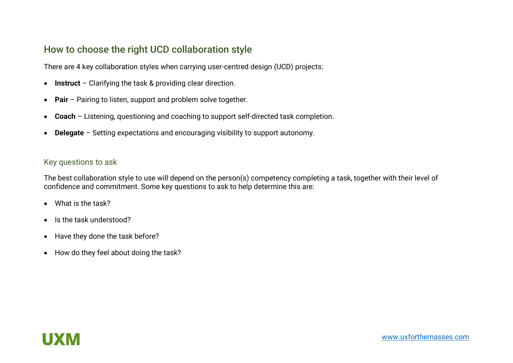## How to choose the right UCD collaboration style

There are 4 key collaboration styles when carrying user-centred design (UCD) projects:

- **Instruct**  Clarifying the task & providing clear direction.
- **Pair** Pairing to listen, support and problem solve together.
- **Coach**  Listening, questioning and coaching to support self-directed task completion.
- **Delegate**  Setting expectations and encouraging visibility to support autonomy.

#### Key questions to ask

The best collaboration style to use will depend on the person(s) competency completing a task, together with their level of confidence and commitment. Some key questions to ask to help determine this are:

- What is the task?
- Is the task understood?
- Have they done the task before?
- How do they feel about doing the task?

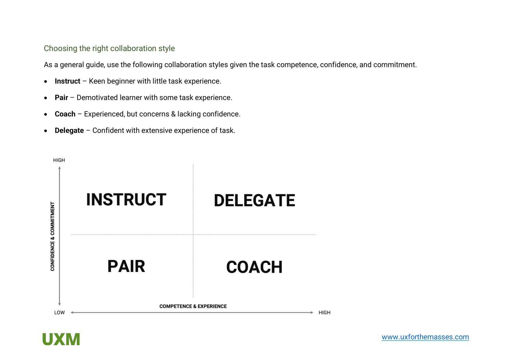## Choosing the right collaboration style

As a general guide, use the following collaboration styles given the task competence, confidence, and commitment.

- **Instruct**  Keen beginner with little task experience.
- **Pair** Demotivated learner with some task experience.
- **Coach**  Experienced, but concerns & lacking confidence.
- **Delegate**  Confident with extensive experience of task.



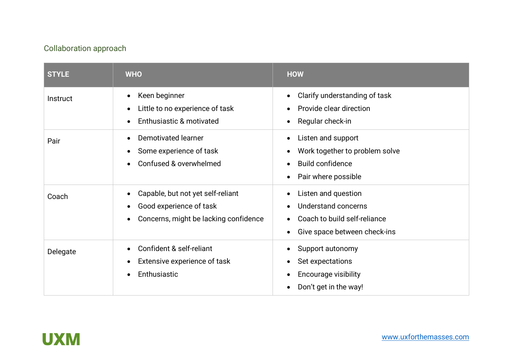# Collaboration approach

| <b>STYLE</b> | <b>WHO</b>                                                                                            | <b>HOW</b>                                                                                                                                    |
|--------------|-------------------------------------------------------------------------------------------------------|-----------------------------------------------------------------------------------------------------------------------------------------------|
| Instruct     | Keen beginner<br>$\bullet$<br>Little to no experience of task<br>Enthusiastic & motivated             | Clarify understanding of task<br>$\bullet$<br>Provide clear direction<br>Regular check-in<br>$\bullet$                                        |
| Pair         | Demotivated learner<br>Some experience of task<br>$\bullet$<br>Confused & overwhelmed<br>$\bullet$    | Listen and support<br>Work together to problem solve<br>$\bullet$<br><b>Build confidence</b><br>$\bullet$<br>Pair where possible<br>$\bullet$ |
| Coach        | Capable, but not yet self-reliant<br>Good experience of task<br>Concerns, might be lacking confidence | Listen and question<br>$\bullet$<br>Understand concerns<br>Coach to build self-reliance<br>Give space between check-ins                       |
| Delegate     | Confident & self-reliant<br>Extensive experience of task<br>Enthusiastic                              | Support autonomy<br>Set expectations<br><b>Encourage visibility</b><br>Don't get in the way!                                                  |

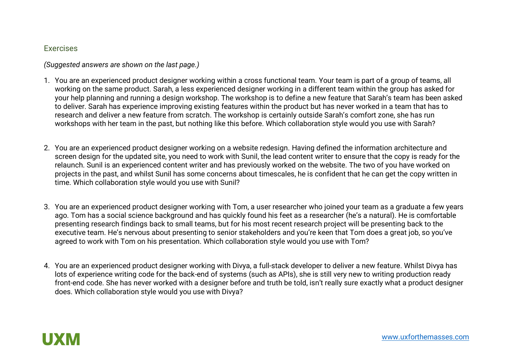### **Exercises**

*(Suggested answers are shown on the last page.)*

- 1. You are an experienced product designer working within a cross functional team. Your team is part of a group of teams, all working on the same product. Sarah, a less experienced designer working in a different team within the group has asked for your help planning and running a design workshop. The workshop is to define a new feature that Sarah's team has been asked to deliver. Sarah has experience improving existing features within the product but has never worked in a team that has to research and deliver a new feature from scratch. The workshop is certainly outside Sarah's comfort zone, she has run workshops with her team in the past, but nothing like this before. Which collaboration style would you use with Sarah?
- 2. You are an experienced product designer working on a website redesign. Having defined the information architecture and screen design for the updated site, you need to work with Sunil, the lead content writer to ensure that the copy is ready for the relaunch. Sunil is an experienced content writer and has previously worked on the website. The two of you have worked on projects in the past, and whilst Sunil has some concerns about timescales, he is confident that he can get the copy written in time. Which collaboration style would you use with Sunil?
- 3. You are an experienced product designer working with Tom, a user researcher who joined your team as a graduate a few years ago. Tom has a social science background and has quickly found his feet as a researcher (he's a natural). He is comfortable presenting research findings back to small teams, but for his most recent research project will be presenting back to the executive team. He's nervous about presenting to senior stakeholders and you're keen that Tom does a great job, so you've agreed to work with Tom on his presentation. Which collaboration style would you use with Tom?
- 4. You are an experienced product designer working with Divya, a full-stack developer to deliver a new feature. Whilst Divya has lots of experience writing code for the back-end of systems (such as APIs), she is still very new to writing production ready front-end code. She has never worked with a designer before and truth be told, isn't really sure exactly what a product designer does. Which collaboration style would you use with Divya?

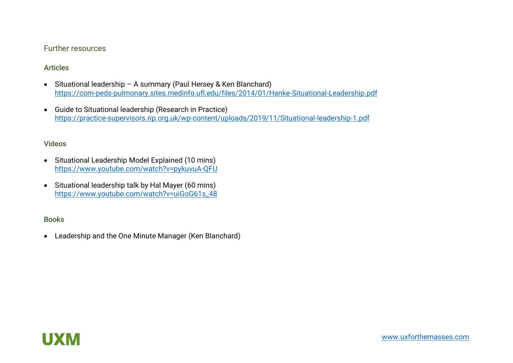## Further resources

## Articles

- Situational leadership A summary (Paul Hersey & Ken Blanchard) <https://com-peds-pulmonary.sites.medinfo.ufl.edu/files/2014/01/Hanke-Situational-Leadership.pdf>
- Guide to Situational leadership (Research in Practice) <https://practice-supervisors.rip.org.uk/wp-content/uploads/2019/11/Situational-leadership-1.pdf>

#### Videos

- Situational Leadership Model Explained (10 mins) <https://www.youtube.com/watch?v=pykuvuA-QFU>
- Situational leadership talk by Hal Mayer (60 mins) [https://www.youtube.com/watch?v=uiGoG61s\\_48](https://www.youtube.com/watch?v=uiGoG61s_48)

## Books

• Leadership and the One Minute Manager (Ken Blanchard)